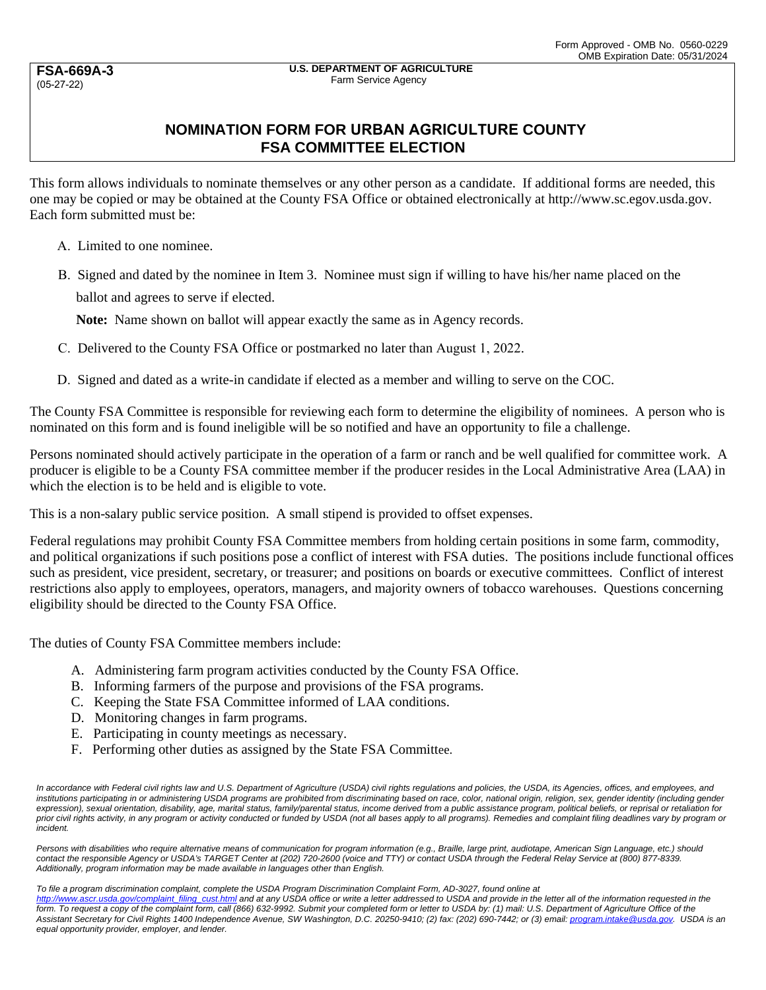**FSA-669A-3** (05-27-22)

## **NOMINATION FORM FOR URBAN AGRICULTURE COUNTY FSA COMMITTEE ELECTION**

This form allows individuals to nominate themselves or any other person as a candidate. If additional forms are needed, this one may be copied or may be obtained at the County FSA Office or obtained electronically at http://www.sc.egov.usda.gov. Each form submitted must be:

- A. Limited to one nominee.
- B. Signed and dated by the nominee in Item 3. Nominee must sign if willing to have his/her name placed on the ballot and agrees to serve if elected.

**Note:** Name shown on ballot will appear exactly the same as in Agency records.

- C. Delivered to the County FSA Office or postmarked no later than August 1, 2022.
- D. Signed and dated as a write-in candidate if elected as a member and willing to serve on the COC.

The County FSA Committee is responsible for reviewing each form to determine the eligibility of nominees. A person who is nominated on this form and is found ineligible will be so notified and have an opportunity to file a challenge.

Persons nominated should actively participate in the operation of a farm or ranch and be well qualified for committee work. A producer is eligible to be a County FSA committee member if the producer resides in the Local Administrative Area (LAA) in which the election is to be held and is eligible to vote.

This is a non-salary public service position. A small stipend is provided to offset expenses.

Federal regulations may prohibit County FSA Committee members from holding certain positions in some farm, commodity, and political organizations if such positions pose a conflict of interest with FSA duties. The positions include functional offices such as president, vice president, secretary, or treasurer; and positions on boards or executive committees. Conflict of interest restrictions also apply to employees, operators, managers, and majority owners of tobacco warehouses. Questions concerning eligibility should be directed to the County FSA Office.

The duties of County FSA Committee members include:

- A. Administering farm program activities conducted by the County FSA Office.
- B. Informing farmers of the purpose and provisions of the FSA programs.
- C. Keeping the State FSA Committee informed of LAA conditions.
- D. Monitoring changes in farm programs.
- E. Participating in county meetings as necessary.
- F. Performing other duties as assigned by the State FSA Committee.

*In accordance with Federal civil rights law and U.S. Department of Agriculture (USDA) civil rights regulations and policies, the USDA, its Agencies, offices, and employees, and*  institutions participating in or administering USDA programs are prohibited from discriminating based on race, color, national origin, religion, sex, gender identity (including gender expression), sexual orientation, disability, age, marital status, family/parental status, income derived from a public assistance program, political beliefs, or reprisal or retaliation for *prior civil rights activity, in any program or activity conducted or funded by USDA (not all bases apply to all programs). Remedies and complaint filing deadlines vary by program or incident.* 

Persons with disabilities who require alternative means of communication for program information (e.g., Braille, large print, audiotape, American Sign Language, etc.) should *contact the responsible Agency or USDA's TARGET Center at (202) 720-2600 (voice and TTY) or contact USDA through the Federal Relay Service at (800) 877-8339. Additionally, program information may be made available in languages other than English.* 

*To file a program discrimination complaint, complete the USDA Program Discrimination Complaint Form, AD-3027, found online at* 

*http://www.ascr.usda.gov/complaint\_filing\_cust.html and at any USDA office or write a letter addressed to USDA and provide in the letter all of the information requested in the*  form. To request a copy of the complaint form, call (866) 632-9992. Submit your completed form or letter to USDA by: (1) mail: U.S. Department of Agriculture Office of the Assistant Secretary for Civil Rights 1400 Independence Avenue, SW Washington, D.C. 20250-9410; (2) fax: (202) 690-7442; or (3) email: program.intake@usda.gov. USDA is an *equal opportunity provider, employer, and lender.*